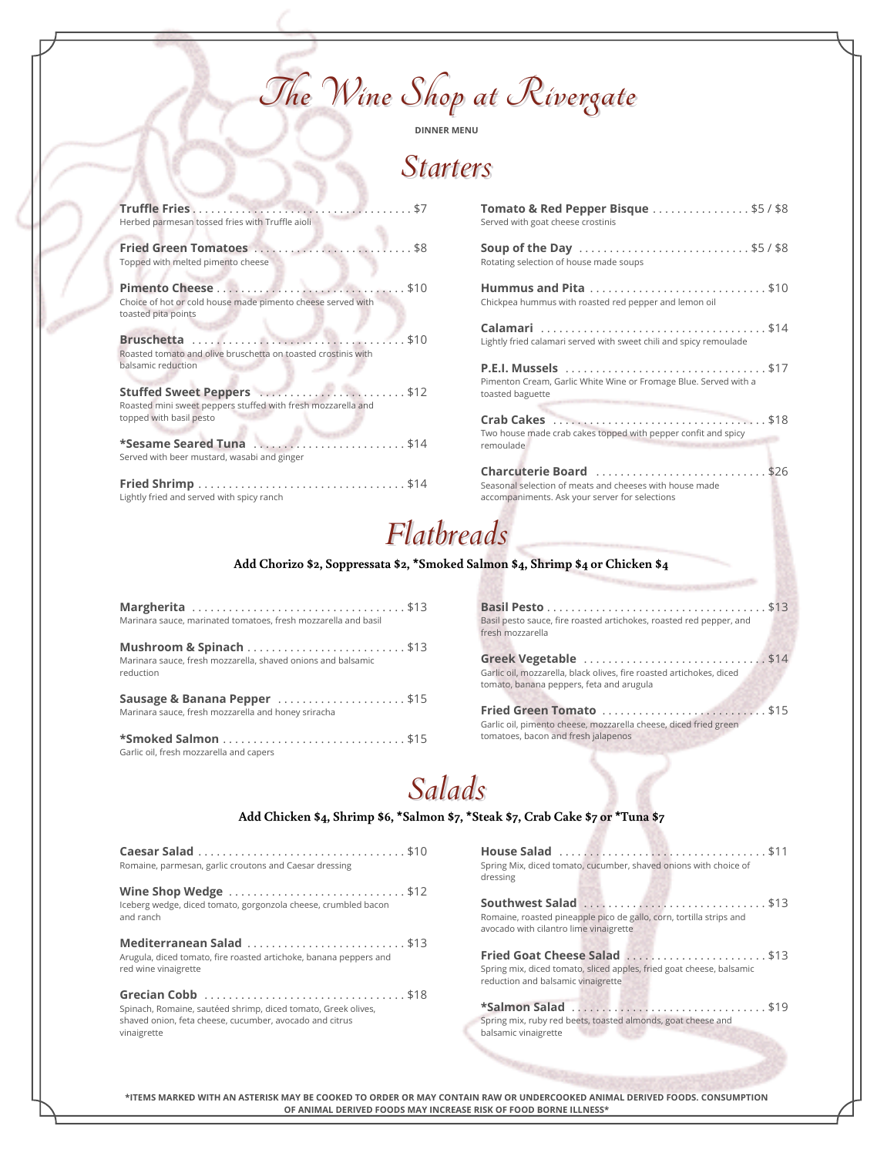**The Wine Shop at Rivergate**

**DINNER MENU**

### *Starters*

| Herbed parmesan tossed fries with Truffle aioli                                                                        |
|------------------------------------------------------------------------------------------------------------------------|
| Topped with melted pimento cheese                                                                                      |
| Choice of hot or cold house made pimento cheese served with<br>toasted pita points                                     |
| Roasted tomato and olive bruschetta on toasted crostinis with<br>balsamic reduction                                    |
| Stuffed Sweet Peppers  \$12<br>Roasted mini sweet peppers stuffed with fresh mozzarella and<br>topped with basil pesto |
| Served with beer mustard, wasabi and ginger                                                                            |
| Lightly fried and served with spicy ranch                                                                              |

| <b>Tomato &amp; Red Pepper Bisque</b> $\ldots \ldots \ldots \ldots$ \$5 / \$8<br>Served with goat cheese crostinis                  |
|-------------------------------------------------------------------------------------------------------------------------------------|
| Soup of the Day \$5/\$8<br>Rotating selection of house made soups                                                                   |
| Chickpea hummus with roasted red pepper and lemon oil                                                                               |
| Lightly fried calamari served with sweet chili and spicy remoulade                                                                  |
| <b>P.E.I. Mussels</b> \$17<br>Pimenton Cream, Garlic White Wine or Fromage Blue. Served with a<br>toasted baguette                  |
| Two house made crab cakes topped with pepper confit and spicy<br>remoulade                                                          |
| Charcuterie Board \$26<br>Seasonal selection of meats and cheeses with house made<br>accompaniments. Ask your server for selections |

## *Flatbreads*

**Add Chorizo \$2, Soppressata \$2, \*Smoked Salmon \$4, Shrimp \$4 or Chicken \$4**

| Margherita \$13<br>Marinara sauce, marinated tomatoes, fresh mozzarella and basil                    |  |
|------------------------------------------------------------------------------------------------------|--|
| Mushroom & Spinach \$13<br>Marinara sauce, fresh mozzarella, shaved onions and balsamic<br>reduction |  |
| Sausage & Banana Pepper \$15<br>Marinara sauce, fresh mozzarella and honey sriracha                  |  |
| Garlic oil fresh mozzarella and capers                                                               |  |

**Basil Pesto** . . . . . . . . . . . . . . . . . . . . . . . . . . . . . . . . . . . . \$13 Basil pesto sauce, fire roasted artichokes, roasted red pepper, and fresh mozzarella

**Greek Vegetable** . . . . . . . . . . . . . . . . . . . . . . . . . . . . . . \$14 Garlic oil, mozzarella, black olives, fire roasted artichokes, diced tomato, banana peppers, feta and arugula

Marinara sauce, fresh mozzarella and honey sriracha **Fried Green Tomato** . . . . . . . . . . . . . . . . . . . . . . . . . . . \$15 Garlic oil, pimento cheese, mozzarella cheese, diced fried green tomatoes, bacon and fresh jalapenos

# *Salads*

### **Caesar Salad** . . . . . . . . . . . . . . . . . . . . . . . . . . . . . . . . . . \$10 Romaine, parmesan, garlic croutons and Caesar dressing dressing **Wine Shop Wedge** . . . . . . . . . . . . . . . . . . . . . . . . . . . . . \$12 Iceberg wedge, diced tomato, gorgonzola cheese, crumbled bacon and ranch **Mediterranean Salad** . . . . . . . . . . . . . . . . . . . . . . . . . . \$13 Arugula, diced tomato, fire roasted artichoke, banana peppers and red wine vinaigrette **Grecian Cobb** . . . . . . . . . . . . . . . . . . . . . . . . . . . . . . . . . \$18 Spinach, Romaine, sautéed shrimp, diced tomato, Greek olives, shaved onion, feta cheese, cucumber, avocado and citrus vinaigrette **Add Chicken \$4, Shrimp \$6, \*Salmon \$7, \*Steak \$7, Crab Cake \$7 or \*Tuna \$7**

| Spring Mix, diced tomato, cucumber, shaved onions with choice of<br>dressing                                                               |
|--------------------------------------------------------------------------------------------------------------------------------------------|
| Southwest Salad \$13<br>Romaine, roasted pineapple pico de gallo, corn, tortilla strips and<br>avocado with cilantro lime vinaigrette      |
| Fried Goat Cheese Salad \$13<br>Spring mix, diced tomato, sliced apples, fried goat cheese, balsamic<br>reduction and balsamic vinaigrette |
| <b>*Salmon Salad</b> \$19<br>Spring mix, ruby red beets, toasted almonds, goat cheese and                                                  |
| balsamic vinaigrette                                                                                                                       |

**\*ITEMS MARKED WITH AN ASTERISK MAY BE COOKED TO ORDER OR MAY CONTAIN RAW OR UNDERCOOKED ANIMAL DERIVED FOODS. CONSUMPTION OF ANIMAL DERIVED FOODS MAY INCREASE RISK OF FOOD BORNE ILLNESS\***